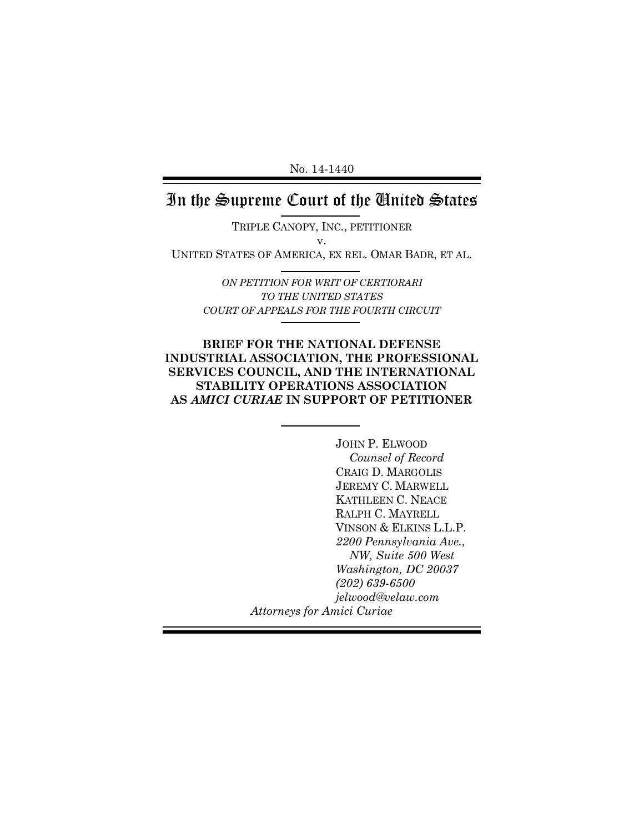No. 14-1440

# In the Supreme Court of the United States

TRIPLE CANOPY, INC., PETITIONER v. UNITED STATES OF AMERICA, EX REL. OMAR BADR, ET AL.

> *ON PETITION FOR WRIT OF CERTIORARI TO THE UNITED STATES COURT OF APPEALS FOR THE FOURTH CIRCUIT*

## **BRIEF FOR THE NATIONAL DEFENSE INDUSTRIAL ASSOCIATION, THE PROFESSIONAL SERVICES COUNCIL, AND THE INTERNATIONAL STABILITY OPERATIONS ASSOCIATION AS** *AMICI CURIAE* **IN SUPPORT OF PETITIONER**

JOHN P. ELWOOD *Counsel of Record* CRAIG D. MARGOLIS JEREMY C. MARWELL KATHLEEN C. NEACE RALPH C. MAYRELL VINSON & ELKINS L.L.P. *2200 Pennsylvania Ave., NW, Suite 500 West Washington, DC 20037 (202) 639-6500 jelwood@velaw.com Attorneys for Amici Curiae*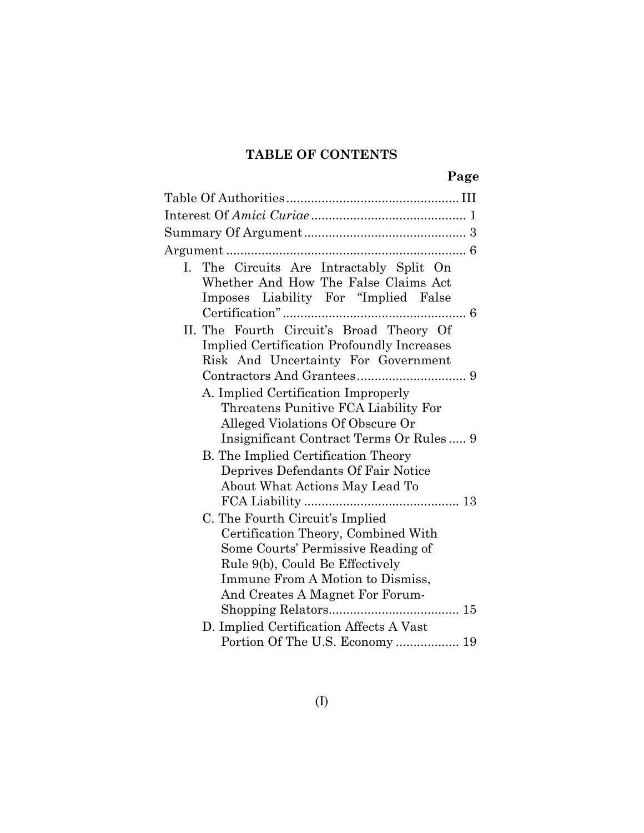## **TABLE OF CONTENTS**

|--|

| I. The Circuits Are Intractably Split On<br>Whether And How The False Claims Act<br>Imposes Liability For "Implied False                                                                                               |
|------------------------------------------------------------------------------------------------------------------------------------------------------------------------------------------------------------------------|
| II. The Fourth Circuit's Broad Theory Of<br><b>Implied Certification Profoundly Increases</b><br>Risk And Uncertainty For Government                                                                                   |
|                                                                                                                                                                                                                        |
| A. Implied Certification Improperly<br>Threatens Punitive FCA Liability For<br>Alleged Violations Of Obscure Or<br>Insignificant Contract Terms Or Rules 9                                                             |
| B. The Implied Certification Theory<br>Deprives Defendants Of Fair Notice<br>About What Actions May Lead To                                                                                                            |
| C. The Fourth Circuit's Implied<br>Certification Theory, Combined With<br>Some Courts' Permissive Reading of<br>Rule 9(b), Could Be Effectively<br>Immune From A Motion to Dismiss,<br>And Creates A Magnet For Forum- |
| D. Implied Certification Affects A Vast<br>Portion Of The U.S. Economy  19                                                                                                                                             |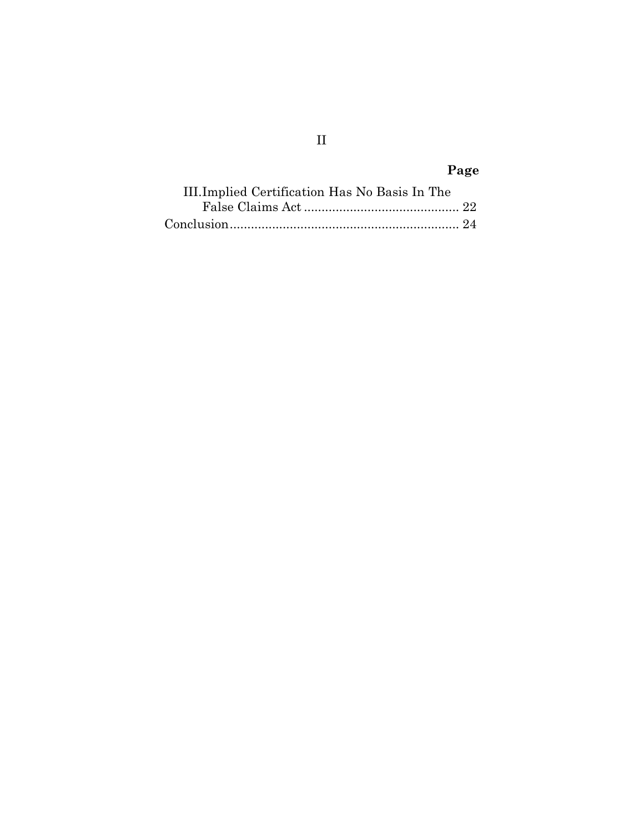# **Page**

| III.Implied Certification Has No Basis In The |  |
|-----------------------------------------------|--|
|                                               |  |
|                                               |  |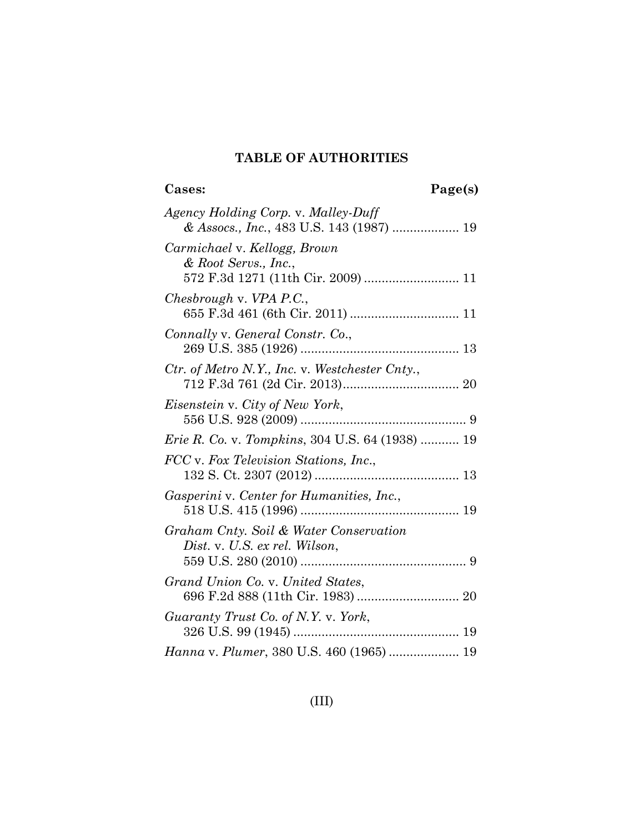## **TABLE OF AUTHORITIES**

**Cases: Page(s)**

| Agency Holding Corp. v. Malley-Duff                                                        |
|--------------------------------------------------------------------------------------------|
| Carmichael v. Kellogg, Brown<br>& Root Servs., Inc.,<br>572 F.3d 1271 (11th Cir. 2009)  11 |
| Chesbrough v. VPA P.C.,                                                                    |
| Connally v. General Constr. Co.,                                                           |
| Ctr. of Metro N.Y., Inc. v. Westchester Cnty.,                                             |
| <i>Eisenstein v. City of New York,</i>                                                     |
| <i>Erie R. Co. v. Tompkins, 304 U.S. 64 (1938) </i> 19                                     |
| FCC v. Fox Television Stations, Inc.,                                                      |
| <i>Gasperini</i> v. Center for Humanities, Inc.,                                           |
| Graham Cnty. Soil & Water Conservation<br>Dist. v. U.S. ex rel. Wilson,                    |
|                                                                                            |
| Grand Union Co. v. United States,                                                          |
| Guaranty Trust Co. of N.Y. v. York,                                                        |
| Hanna v. Plumer, 380 U.S. 460 (1965)  19                                                   |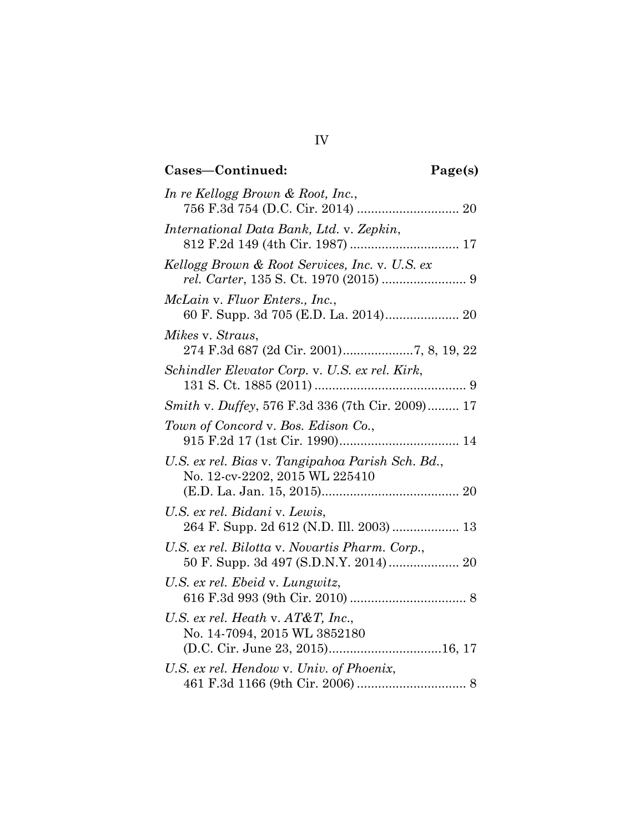# **Cases***—***Continued: Page(s)**

| In re Kellogg Brown & Root, Inc.,                                                                        |
|----------------------------------------------------------------------------------------------------------|
| International Data Bank, Ltd. v. Zepkin,<br>812 F.2d 149 (4th Cir. 1987)  17                             |
| Kellogg Brown & Root Services, Inc. v. U.S. ex                                                           |
| McLain v. Fluor Enters., Inc.,                                                                           |
| Mikes v. Straus,                                                                                         |
| Schindler Elevator Corp. v. U.S. ex rel. Kirk,                                                           |
| Smith v. Duffey, 576 F.3d 336 (7th Cir. 2009) 17                                                         |
| Town of Concord v. Bos. Edison Co.,                                                                      |
| U.S. ex rel. Bias v. Tangipahoa Parish Sch. Bd.,<br>No. 12-cv-2202, 2015 WL 225410                       |
| U.S. ex rel. Bidani v. Lewis,<br>264 F. Supp. 2d 612 (N.D. Ill. 2003)  13                                |
| U.S. ex rel. Bilotta v. Novartis Pharm. Corp.,<br>50 F. Supp. 3d 497 (S.D.N.Y. 2014) 20                  |
| U.S. ex rel. Ebeid v. Lungwitz,                                                                          |
| U.S. ex rel. Heath v. $AT\&T$ , Inc.,<br>No. 14-7094, 2015 WL 3852180<br>(D.C. Cir. June 23, 2015)16, 17 |
| U.S. ex rel. Hendow v. Univ. of Phoenix,                                                                 |

IV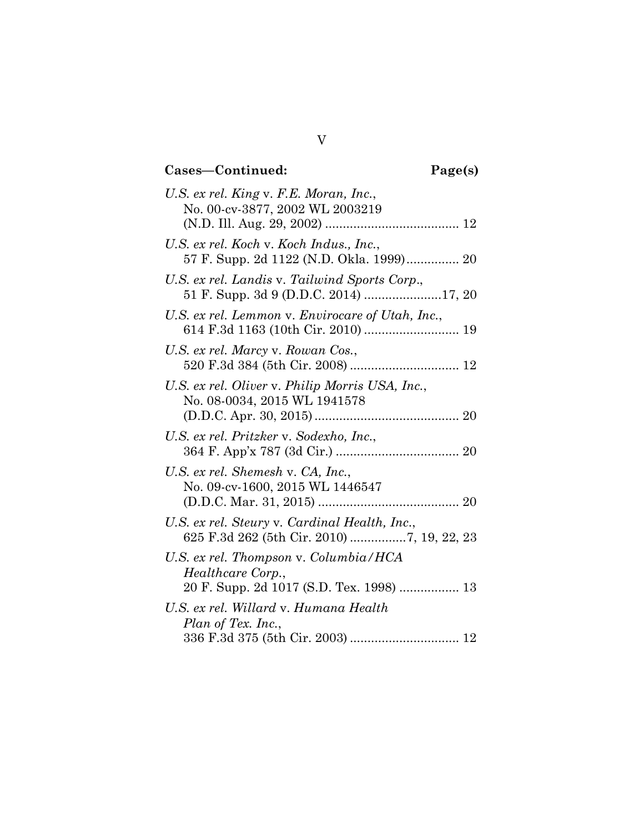# **Cases***—***Continued: Page(s)**

| U.S. ex rel. King v. F.E. Moran, Inc.,<br>No. 00-cv-3877, 2002 WL 2003219                              |
|--------------------------------------------------------------------------------------------------------|
|                                                                                                        |
| U.S. ex rel. Koch v. Koch Indus., Inc.,<br>57 F. Supp. 2d 1122 (N.D. Okla. 1999) 20                    |
| U.S. ex rel. Landis v. Tailwind Sports Corp.,<br>51 F. Supp. 3d 9 (D.D.C. 2014) 17, 20                 |
| U.S. ex rel. Lemmon v. Envirocare of Utah, Inc.,                                                       |
| U.S. ex rel. Marcy v. Rowan Cos.,                                                                      |
| U.S. ex rel. Oliver v. Philip Morris USA, Inc.,<br>No. 08-0034, 2015 WL 1941578                        |
| U.S. ex rel. Pritzker v. Sodexho, Inc.,                                                                |
| U.S. ex rel. Shemesh v. CA, Inc.,<br>No. 09-cv-1600, 2015 WL 1446547                                   |
| U.S. ex rel. Steury v. Cardinal Health, Inc.,                                                          |
| U.S. ex rel. Thompson v. Columbia/HCA<br>Healthcare Corp.,<br>20 F. Supp. 2d 1017 (S.D. Tex. 1998)  13 |
| U.S. ex rel. Willard v. Humana Health<br>Plan of Tex. Inc.,                                            |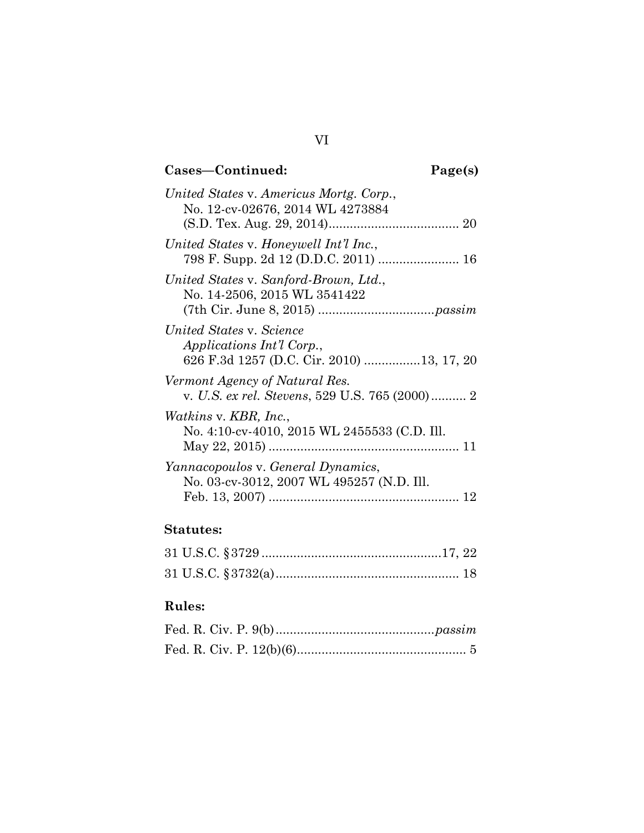# **Cases***—***Continued: Page(s)**

| United States v. Americus Mortg. Corp.,<br>No. 12-cv-02676, 2014 WL 4273884                                |
|------------------------------------------------------------------------------------------------------------|
| United States v. Honeywell Int'l Inc.,                                                                     |
| United States v. Sanford-Brown, Ltd.,<br>No. 14-2506, 2015 WL 3541422                                      |
| United States v. Science<br><i>Applications Int'l Corp.</i> ,<br>626 F.3d 1257 (D.C. Cir. 2010) 13, 17, 20 |
| Vermont Agency of Natural Res.<br>v. U.S. ex rel. Stevens, 529 U.S. 765 (2000) 2                           |
| <i>Watkins v. KBR, Inc.,</i><br>No. 4:10-cv-4010, 2015 WL 2455533 (C.D. Ill.                               |
| Yannacopoulos v. General Dynamics,<br>No. 03-cv-3012, 2007 WL 495257 (N.D. Ill.<br>12                      |

## **Statutes:**

## **Rules:**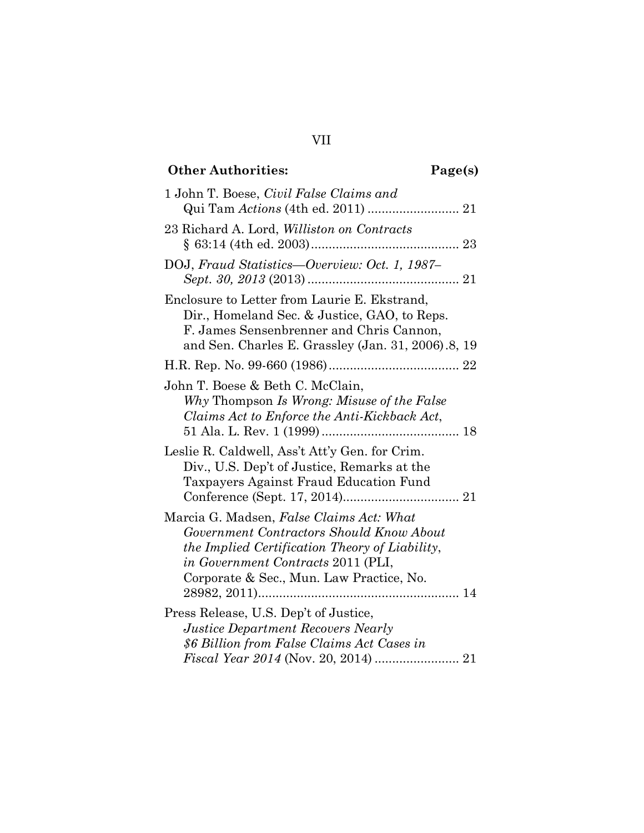# **Other Authorities: Page(s)**

| 1 John T. Boese, Civil False Claims and                                                                                                                                                                                  |
|--------------------------------------------------------------------------------------------------------------------------------------------------------------------------------------------------------------------------|
| 23 Richard A. Lord, <i>Williston on Contracts</i>                                                                                                                                                                        |
| DOJ, Fraud Statistics—Overview: Oct. 1, 1987–                                                                                                                                                                            |
| Enclosure to Letter from Laurie E. Ekstrand,<br>Dir., Homeland Sec. & Justice, GAO, to Reps.<br>F. James Sensenbrenner and Chris Cannon,<br>and Sen. Charles E. Grassley (Jan. 31, 2006).8, 19                           |
|                                                                                                                                                                                                                          |
| John T. Boese & Beth C. McClain,<br>Why Thompson Is Wrong: Misuse of the False<br>Claims Act to Enforce the Anti-Kickback Act,                                                                                           |
| Leslie R. Caldwell, Ass't Att'y Gen. for Crim.<br>Div., U.S. Dep't of Justice, Remarks at the<br>Taxpayers Against Fraud Education Fund                                                                                  |
| Marcia G. Madsen, False Claims Act: What<br>Government Contractors Should Know About<br>the Implied Certification Theory of Liability,<br>in Government Contracts 2011 (PLI,<br>Corporate & Sec., Mun. Law Practice, No. |
| Press Release, U.S. Dep't of Justice,<br>Justice Department Recovers Nearly<br>\$6 Billion from False Claims Act Cases in                                                                                                |

VII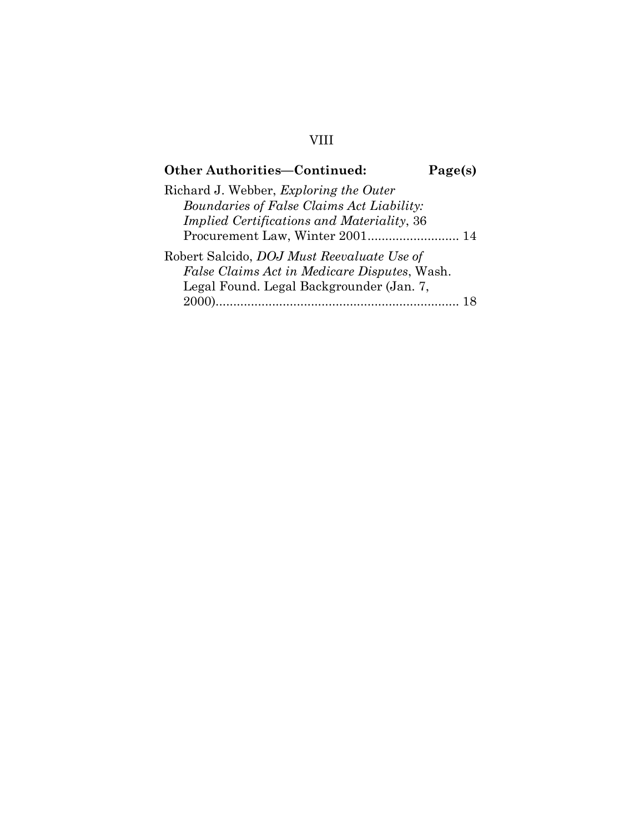## **Other Authorities***—***Continued: Page(s)** Richard J. Webber, *Exploring the Outer Boundaries of False Claims Act Liability: Implied Certifications and Materiality*, 36 Procurement Law, Winter 2001.......................... 14 Robert Salcido, *DOJ Must Reevaluate Use of False Claims Act in Medicare Disputes*, Wash. Legal Found. Legal Backgrounder (Jan. 7, 2000)..................................................................... 18

VIII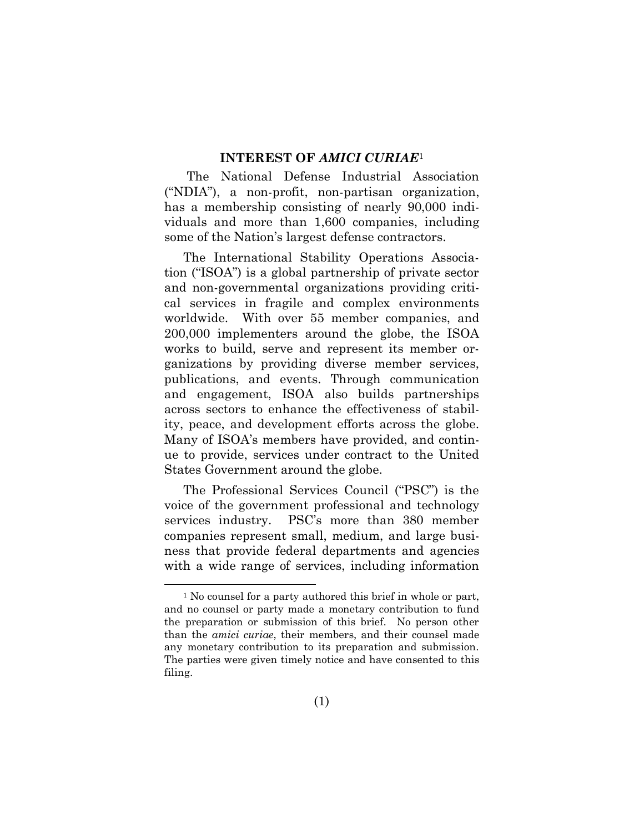### **INTEREST OF** *AMICI CURIAE*<sup>1</sup>

The National Defense Industrial Association ("NDIA"), a non-profit, non-partisan organization, has a membership consisting of nearly 90,000 individuals and more than 1,600 companies, including some of the Nation's largest defense contractors.

The International Stability Operations Association ("ISOA") is a global partnership of private sector and non-governmental organizations providing critical services in fragile and complex environments worldwide. With over 55 member companies, and 200,000 implementers around the globe, the ISOA works to build, serve and represent its member organizations by providing diverse member services, publications, and events. Through communication and engagement, ISOA also builds partnerships across sectors to enhance the effectiveness of stability, peace, and development efforts across the globe. Many of ISOA's members have provided, and continue to provide, services under contract to the United States Government around the globe.

The Professional Services Council ("PSC") is the voice of the government professional and technology services industry. PSC's more than 380 member companies represent small, medium, and large business that provide federal departments and agencies with a wide range of services, including information

<sup>&</sup>lt;sup>1</sup> No counsel for a party authored this brief in whole or part, and no counsel or party made a monetary contribution to fund the preparation or submission of this brief. No person other than the *amici curiae*, their members, and their counsel made any monetary contribution to its preparation and submission. The parties were given timely notice and have consented to this filing.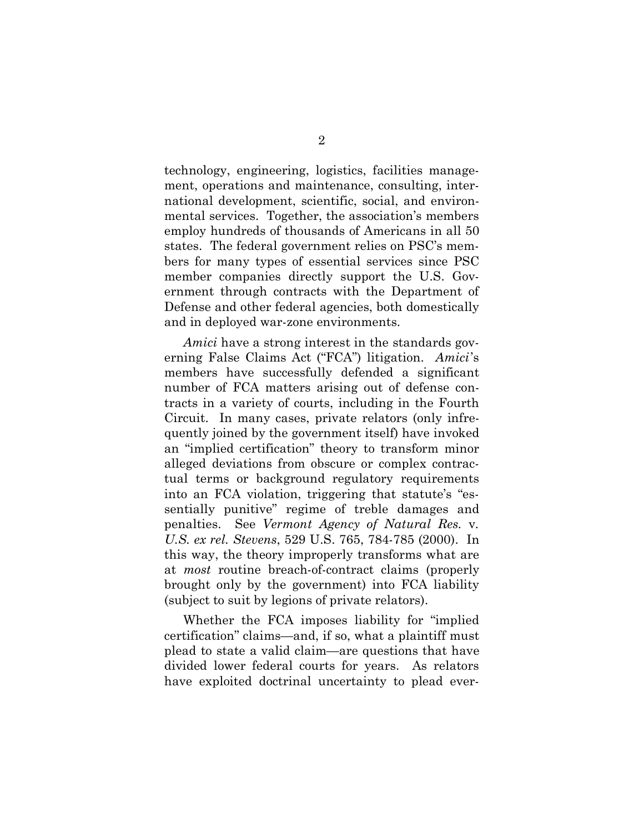technology, engineering, logistics, facilities management, operations and maintenance, consulting, international development, scientific, social, and environmental services. Together, the association's members employ hundreds of thousands of Americans in all 50 states. The federal government relies on PSC's members for many types of essential services since PSC member companies directly support the U.S. Government through contracts with the Department of Defense and other federal agencies, both domestically and in deployed war-zone environments.

*Amici* have a strong interest in the standards governing False Claims Act ("FCA") litigation. *Amici*'s members have successfully defended a significant number of FCA matters arising out of defense contracts in a variety of courts, including in the Fourth Circuit. In many cases, private relators (only infrequently joined by the government itself) have invoked an "implied certification" theory to transform minor alleged deviations from obscure or complex contractual terms or background regulatory requirements into an FCA violation, triggering that statute's "essentially punitive" regime of treble damages and penalties. See *Vermont Agency of Natural Res.* v*. U.S. ex rel. Stevens*, 529 U.S. 765, 784-785 (2000). In this way, the theory improperly transforms what are at *most* routine breach-of-contract claims (properly brought only by the government) into FCA liability (subject to suit by legions of private relators).

Whether the FCA imposes liability for "implied certification" claims—and, if so, what a plaintiff must plead to state a valid claim—are questions that have divided lower federal courts for years. As relators have exploited doctrinal uncertainty to plead ever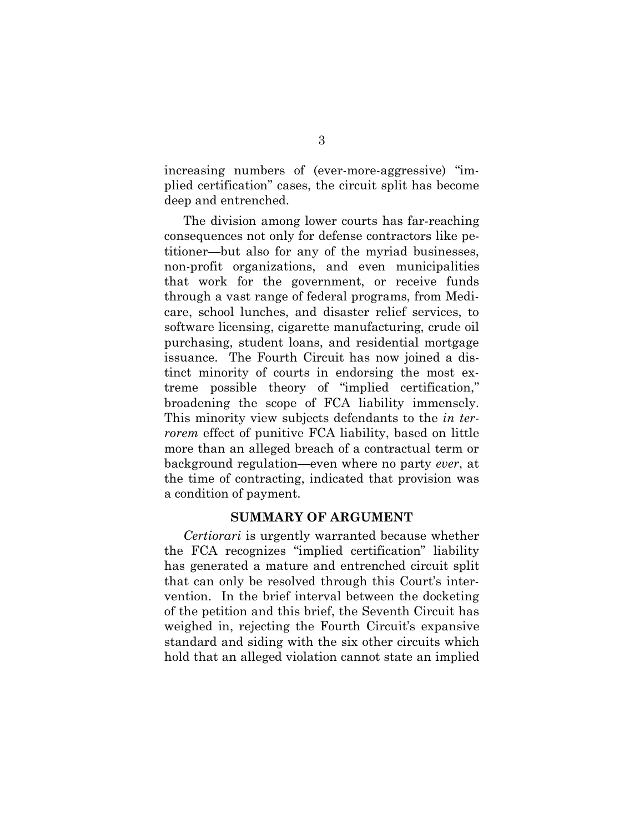increasing numbers of (ever-more-aggressive) "implied certification" cases, the circuit split has become deep and entrenched.

The division among lower courts has far-reaching consequences not only for defense contractors like petitioner—but also for any of the myriad businesses, non-profit organizations, and even municipalities that work for the government, or receive funds through a vast range of federal programs, from Medicare, school lunches, and disaster relief services, to software licensing, cigarette manufacturing, crude oil purchasing, student loans, and residential mortgage issuance. The Fourth Circuit has now joined a distinct minority of courts in endorsing the most extreme possible theory of "implied certification," broadening the scope of FCA liability immensely. This minority view subjects defendants to the *in terrorem* effect of punitive FCA liability, based on little more than an alleged breach of a contractual term or background regulation—even where no party *ever*, at the time of contracting, indicated that provision was a condition of payment.

### **SUMMARY OF ARGUMENT**

*Certiorari* is urgently warranted because whether the FCA recognizes "implied certification" liability has generated a mature and entrenched circuit split that can only be resolved through this Court's intervention. In the brief interval between the docketing of the petition and this brief, the Seventh Circuit has weighed in, rejecting the Fourth Circuit's expansive standard and siding with the six other circuits which hold that an alleged violation cannot state an implied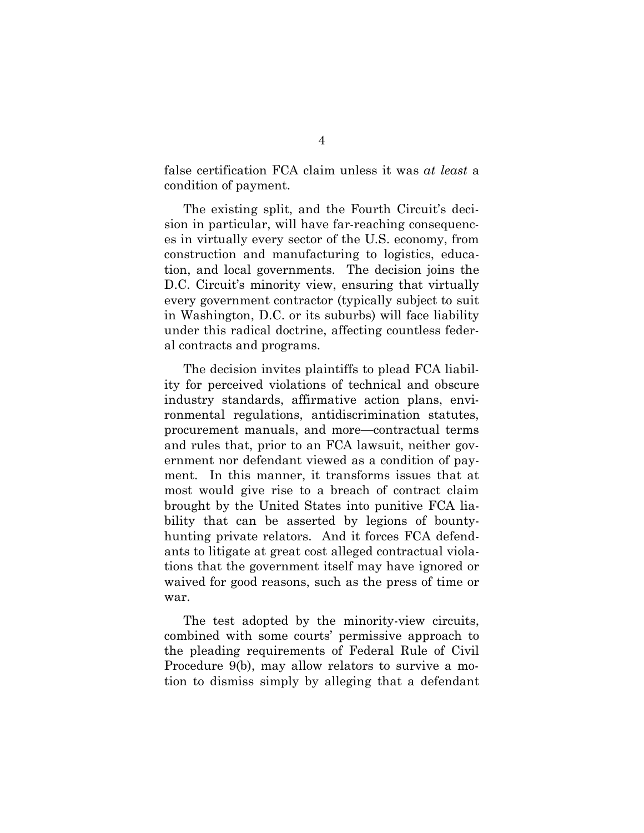false certification FCA claim unless it was *at least* a condition of payment.

The existing split, and the Fourth Circuit's decision in particular, will have far-reaching consequences in virtually every sector of the U.S. economy, from construction and manufacturing to logistics, education, and local governments. The decision joins the D.C. Circuit's minority view, ensuring that virtually every government contractor (typically subject to suit in Washington, D.C. or its suburbs) will face liability under this radical doctrine, affecting countless federal contracts and programs.

The decision invites plaintiffs to plead FCA liability for perceived violations of technical and obscure industry standards, affirmative action plans, environmental regulations, antidiscrimination statutes, procurement manuals, and more—contractual terms and rules that, prior to an FCA lawsuit, neither government nor defendant viewed as a condition of payment. In this manner, it transforms issues that at most would give rise to a breach of contract claim brought by the United States into punitive FCA liability that can be asserted by legions of bountyhunting private relators. And it forces FCA defendants to litigate at great cost alleged contractual violations that the government itself may have ignored or waived for good reasons, such as the press of time or war.

The test adopted by the minority-view circuits, combined with some courts' permissive approach to the pleading requirements of Federal Rule of Civil Procedure 9(b), may allow relators to survive a motion to dismiss simply by alleging that a defendant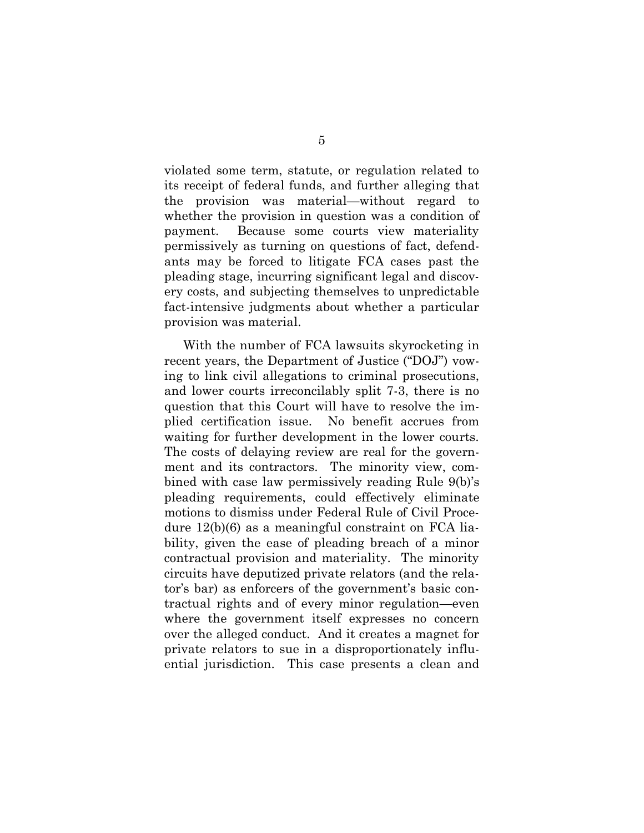violated some term, statute, or regulation related to its receipt of federal funds, and further alleging that the provision was material—without regard to whether the provision in question was a condition of payment. Because some courts view materiality permissively as turning on questions of fact, defendants may be forced to litigate FCA cases past the pleading stage, incurring significant legal and discovery costs, and subjecting themselves to unpredictable fact-intensive judgments about whether a particular provision was material.

With the number of FCA lawsuits skyrocketing in recent years, the Department of Justice ("DOJ") vowing to link civil allegations to criminal prosecutions, and lower courts irreconcilably split 7-3, there is no question that this Court will have to resolve the implied certification issue. No benefit accrues from waiting for further development in the lower courts. The costs of delaying review are real for the government and its contractors. The minority view, combined with case law permissively reading Rule 9(b)'s pleading requirements, could effectively eliminate motions to dismiss under Federal Rule of Civil Procedure 12(b)(6) as a meaningful constraint on FCA liability, given the ease of pleading breach of a minor contractual provision and materiality. The minority circuits have deputized private relators (and the relator's bar) as enforcers of the government's basic contractual rights and of every minor regulation—even where the government itself expresses no concern over the alleged conduct. And it creates a magnet for private relators to sue in a disproportionately influential jurisdiction. This case presents a clean and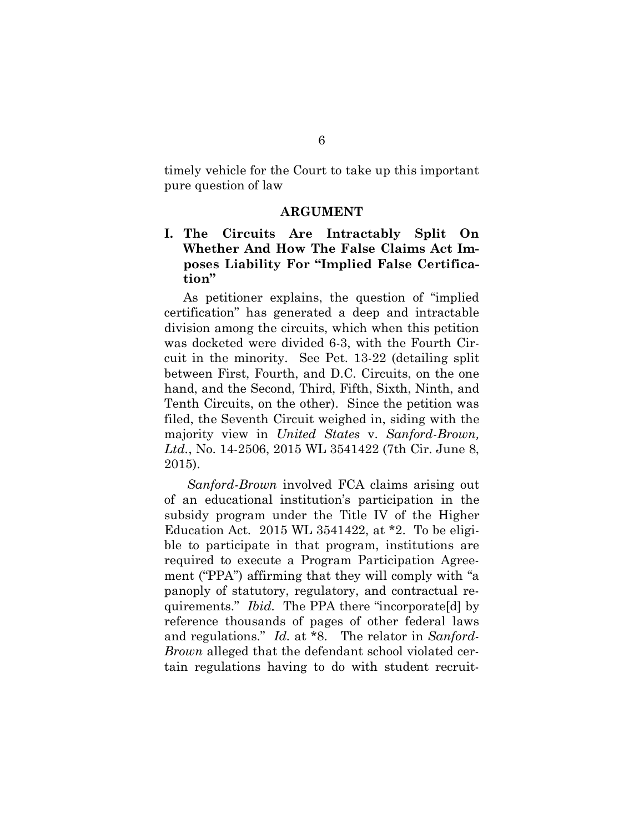timely vehicle for the Court to take up this important pure question of law

### **ARGUMENT**

## **I. The Circuits Are Intractably Split On Whether And How The False Claims Act Imposes Liability For "Implied False Certification"**

As petitioner explains, the question of "implied certification" has generated a deep and intractable division among the circuits, which when this petition was docketed were divided 6-3, with the Fourth Circuit in the minority. See Pet. 13-22 (detailing split between First, Fourth, and D.C. Circuits, on the one hand, and the Second, Third, Fifth, Sixth, Ninth, and Tenth Circuits, on the other). Since the petition was filed, the Seventh Circuit weighed in, siding with the majority view in *United States* v. *Sanford-Brown, Ltd.*, No. 14-2506, 2015 WL 3541422 (7th Cir. June 8, 2015).

*Sanford-Brown* involved FCA claims arising out of an educational institution's participation in the subsidy program under the Title IV of the Higher Education Act. 2015 WL 3541422, at \*2. To be eligible to participate in that program, institutions are required to execute a Program Participation Agreement ("PPA") affirming that they will comply with "a panoply of statutory, regulatory, and contractual requirements." *Ibid.* The PPA there "incorporate[d] by reference thousands of pages of other federal laws and regulations." *Id.* at \*8. The relator in *Sanford-Brown* alleged that the defendant school violated certain regulations having to do with student recruit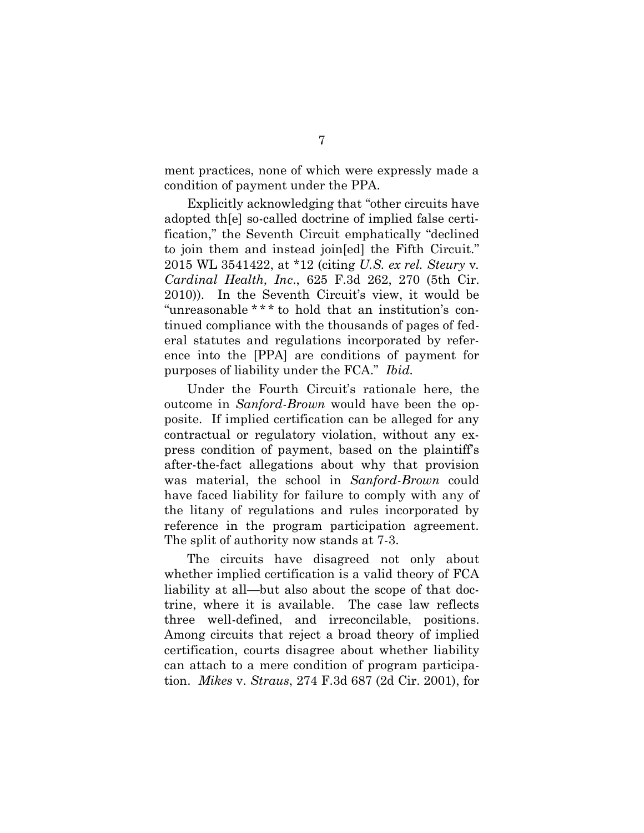ment practices, none of which were expressly made a condition of payment under the PPA.

Explicitly acknowledging that "other circuits have adopted th[e] so-called doctrine of implied false certification," the Seventh Circuit emphatically "declined to join them and instead join[ed] the Fifth Circuit." 2015 WL 3541422, at \*12 (citing *U.S. ex rel. Steury* v*. Cardinal Health, Inc*., 625 F.3d 262, 270 (5th Cir. 2010)). In the Seventh Circuit's view, it would be "unreasonable \* \* \* to hold that an institution's continued compliance with the thousands of pages of federal statutes and regulations incorporated by reference into the [PPA] are conditions of payment for purposes of liability under the FCA." *Ibid.*

Under the Fourth Circuit's rationale here, the outcome in *Sanford-Brown* would have been the opposite. If implied certification can be alleged for any contractual or regulatory violation, without any express condition of payment, based on the plaintiff's after-the-fact allegations about why that provision was material, the school in *Sanford-Brown* could have faced liability for failure to comply with any of the litany of regulations and rules incorporated by reference in the program participation agreement. The split of authority now stands at 7-3.

The circuits have disagreed not only about whether implied certification is a valid theory of FCA liability at all—but also about the scope of that doctrine, where it is available. The case law reflects three well-defined, and irreconcilable, positions. Among circuits that reject a broad theory of implied certification, courts disagree about whether liability can attach to a mere condition of program participation. *Mikes* v. *Straus*, 274 F.3d 687 (2d Cir. 2001), for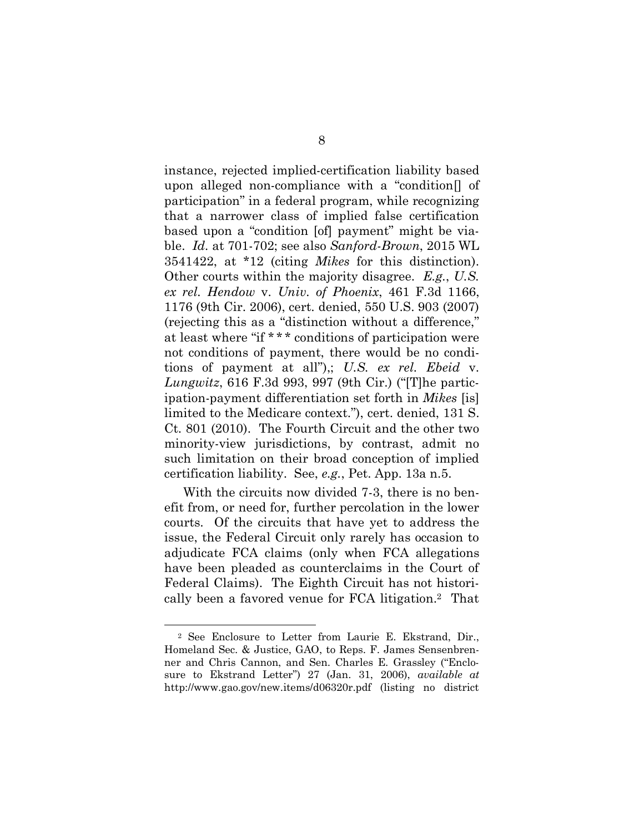instance, rejected implied-certification liability based upon alleged non-compliance with a "condition[] of participation" in a federal program, while recognizing that a narrower class of implied false certification based upon a "condition [of] payment" might be viable. *Id.* at 701-702; see also *Sanford-Brown*, 2015 WL 3541422, at \*12 (citing *Mikes* for this distinction). Other courts within the majority disagree. *E.g.*, *U.S. ex rel. Hendow* v. *Univ. of Phoenix*, 461 F.3d 1166, 1176 (9th Cir. 2006), cert. denied, 550 U.S. 903 (2007) (rejecting this as a "distinction without a difference," at least where "if \* \* \* conditions of participation were not conditions of payment, there would be no conditions of payment at all"),; *U.S. ex rel. Ebeid* v. *Lungwitz*, 616 F.3d 993, 997 (9th Cir.) ("[T]he participation-payment differentiation set forth in *Mikes* [is] limited to the Medicare context."), cert. denied, 131 S. Ct. 801 (2010). The Fourth Circuit and the other two minority-view jurisdictions, by contrast, admit no such limitation on their broad conception of implied certification liability. See, *e.g.*, Pet. App. 13a n.5.

With the circuits now divided 7-3, there is no benefit from, or need for, further percolation in the lower courts. Of the circuits that have yet to address the issue, the Federal Circuit only rarely has occasion to adjudicate FCA claims (only when FCA allegations have been pleaded as counterclaims in the Court of Federal Claims). The Eighth Circuit has not historically been a favored venue for FCA litigation.<sup>2</sup> That

<sup>2</sup> See Enclosure to Letter from Laurie E. Ekstrand, Dir., Homeland Sec. & Justice, GAO, to Reps. F. James Sensenbrenner and Chris Cannon, and Sen. Charles E. Grassley ("Enclosure to Ekstrand Letter") 27 (Jan. 31, 2006), *available at* http://www.gao.gov/new.items/d06320r.pdf (listing no district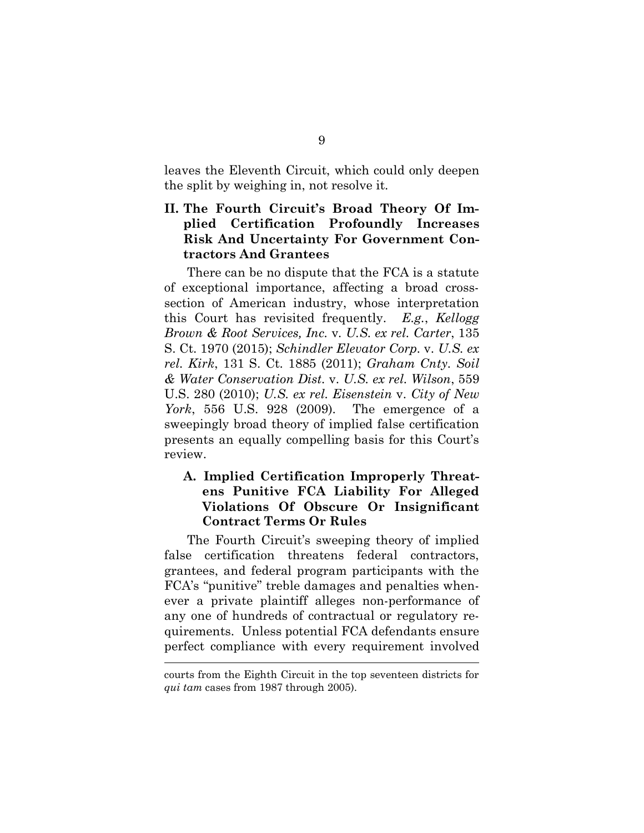leaves the Eleventh Circuit, which could only deepen the split by weighing in, not resolve it.

## **II. The Fourth Circuit's Broad Theory Of Implied Certification Profoundly Increases Risk And Uncertainty For Government Contractors And Grantees**

There can be no dispute that the FCA is a statute of exceptional importance, affecting a broad crosssection of American industry, whose interpretation this Court has revisited frequently. *E.g.*, *Kellogg Brown & Root Services, Inc.* v*. U.S. ex rel. Carter*, 135 S. Ct. 1970 (2015); *Schindler Elevator Corp.* v. *U.S. ex rel. Kirk*, 131 S. Ct. 1885 (2011); *Graham Cnty. Soil & Water Conservation Dist.* v. *U.S. ex rel. Wilson*, 559 U.S. 280 (2010); *U.S. ex rel. Eisenstein* v. *City of New York*, 556 U.S. 928 (2009). The emergence of a sweepingly broad theory of implied false certification presents an equally compelling basis for this Court's review.

## **A. Implied Certification Improperly Threatens Punitive FCA Liability For Alleged Violations Of Obscure Or Insignificant Contract Terms Or Rules**

The Fourth Circuit's sweeping theory of implied false certification threatens federal contractors, grantees, and federal program participants with the FCA's "punitive" treble damages and penalties whenever a private plaintiff alleges non-performance of any one of hundreds of contractual or regulatory requirements. Unless potential FCA defendants ensure perfect compliance with every requirement involved

courts from the Eighth Circuit in the top seventeen districts for *qui tam* cases from 1987 through 2005).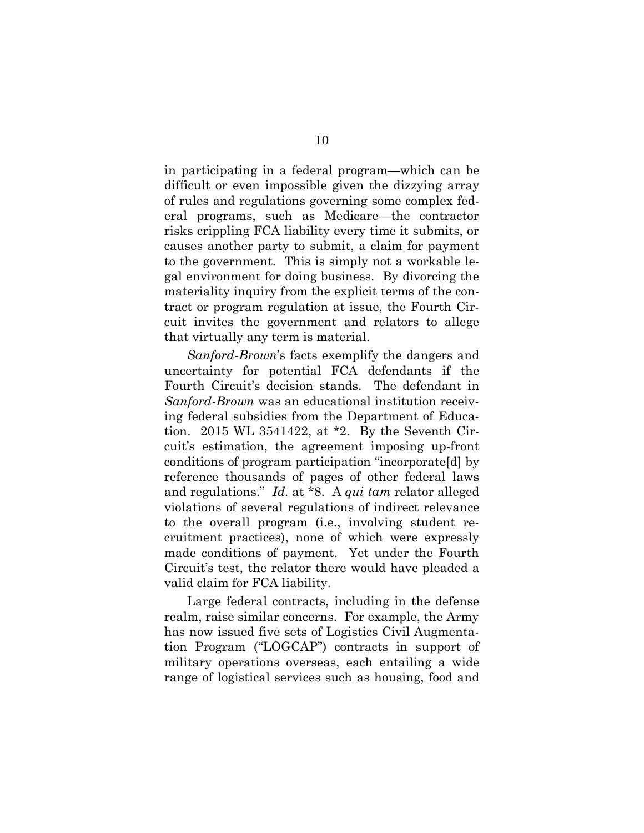in participating in a federal program—which can be difficult or even impossible given the dizzying array of rules and regulations governing some complex federal programs, such as Medicare—the contractor risks crippling FCA liability every time it submits, or causes another party to submit, a claim for payment to the government. This is simply not a workable legal environment for doing business. By divorcing the materiality inquiry from the explicit terms of the contract or program regulation at issue, the Fourth Circuit invites the government and relators to allege that virtually any term is material.

*Sanford-Brown*'s facts exemplify the dangers and uncertainty for potential FCA defendants if the Fourth Circuit's decision stands. The defendant in *Sanford-Brown* was an educational institution receiving federal subsidies from the Department of Education. 2015 WL 3541422, at \*2. By the Seventh Circuit's estimation, the agreement imposing up-front conditions of program participation "incorporate[d] by reference thousands of pages of other federal laws and regulations." *Id.* at \*8. A *qui tam* relator alleged violations of several regulations of indirect relevance to the overall program (i.e., involving student recruitment practices), none of which were expressly made conditions of payment. Yet under the Fourth Circuit's test, the relator there would have pleaded a valid claim for FCA liability.

Large federal contracts, including in the defense realm, raise similar concerns. For example, the Army has now issued five sets of Logistics Civil Augmentation Program ("LOGCAP") contracts in support of military operations overseas, each entailing a wide range of logistical services such as housing, food and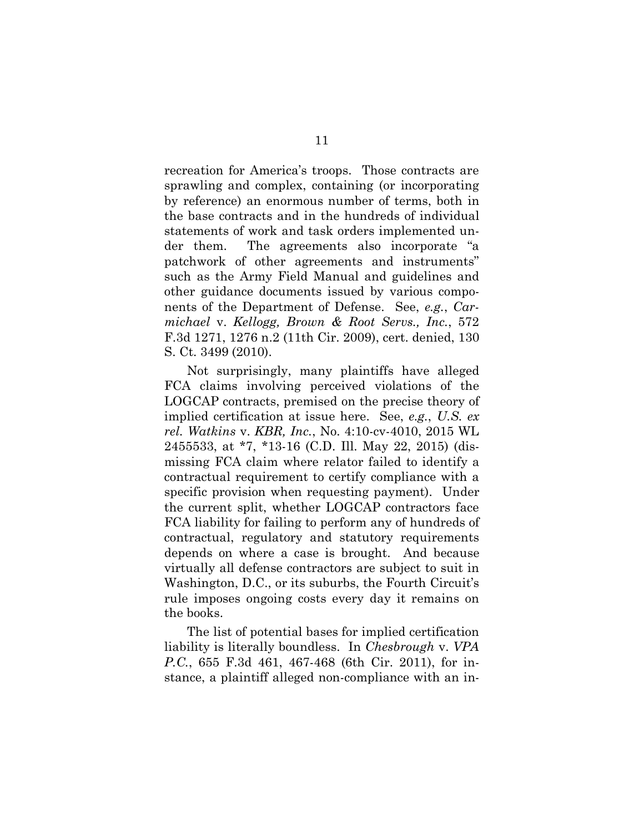recreation for America's troops. Those contracts are sprawling and complex, containing (or incorporating by reference) an enormous number of terms, both in the base contracts and in the hundreds of individual statements of work and task orders implemented under them. The agreements also incorporate "a patchwork of other agreements and instruments" such as the Army Field Manual and guidelines and other guidance documents issued by various components of the Department of Defense. See, *e.g.*, *Carmichael* v. *Kellogg, Brown & Root Servs., Inc.*, 572 F.3d 1271, 1276 n.2 (11th Cir. 2009), cert. denied, 130 S. Ct. 3499 (2010).

Not surprisingly, many plaintiffs have alleged FCA claims involving perceived violations of the LOGCAP contracts, premised on the precise theory of implied certification at issue here. See, *e.g.*, *U.S. ex rel. Watkins* v. *KBR, Inc.*, No. 4:10-cv-4010, 2015 WL 2455533, at \*7, \*13-16 (C.D. Ill. May 22, 2015) (dismissing FCA claim where relator failed to identify a contractual requirement to certify compliance with a specific provision when requesting payment). Under the current split, whether LOGCAP contractors face FCA liability for failing to perform any of hundreds of contractual, regulatory and statutory requirements depends on where a case is brought. And because virtually all defense contractors are subject to suit in Washington, D.C., or its suburbs, the Fourth Circuit's rule imposes ongoing costs every day it remains on the books.

The list of potential bases for implied certification liability is literally boundless. In *Chesbrough* v. *VPA P.C.*, 655 F.3d 461, 467-468 (6th Cir. 2011), for instance, a plaintiff alleged non-compliance with an in-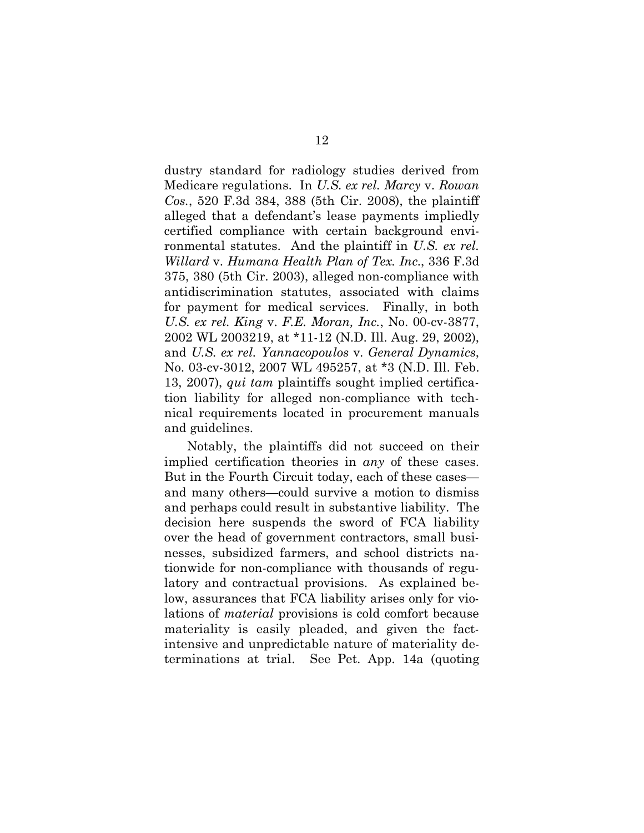dustry standard for radiology studies derived from Medicare regulations. In *U.S. ex rel. Marcy* v. *Rowan Cos.*, 520 F.3d 384, 388 (5th Cir. 2008), the plaintiff alleged that a defendant's lease payments impliedly certified compliance with certain background environmental statutes. And the plaintiff in *U.S. ex rel. Willard* v. *Humana Health Plan of Tex. Inc.*, 336 F.3d 375, 380 (5th Cir. 2003), alleged non-compliance with antidiscrimination statutes, associated with claims for payment for medical services. Finally, in both *U.S. ex rel. King* v. *F.E. Moran, Inc.*, No. 00-cv-3877, 2002 WL 2003219, at \*11-12 (N.D. Ill. Aug. 29, 2002), and *U.S. ex rel. Yannacopoulos* v. *General Dynamics*, No. 03-cv-3012, 2007 WL 495257, at \*3 (N.D. Ill. Feb. 13, 2007), *qui tam* plaintiffs sought implied certification liability for alleged non-compliance with technical requirements located in procurement manuals and guidelines.

Notably, the plaintiffs did not succeed on their implied certification theories in *any* of these cases. But in the Fourth Circuit today, each of these cases and many others—could survive a motion to dismiss and perhaps could result in substantive liability. The decision here suspends the sword of FCA liability over the head of government contractors, small businesses, subsidized farmers, and school districts nationwide for non-compliance with thousands of regulatory and contractual provisions. As explained below, assurances that FCA liability arises only for violations of *material* provisions is cold comfort because materiality is easily pleaded, and given the factintensive and unpredictable nature of materiality determinations at trial. See Pet. App. 14a (quoting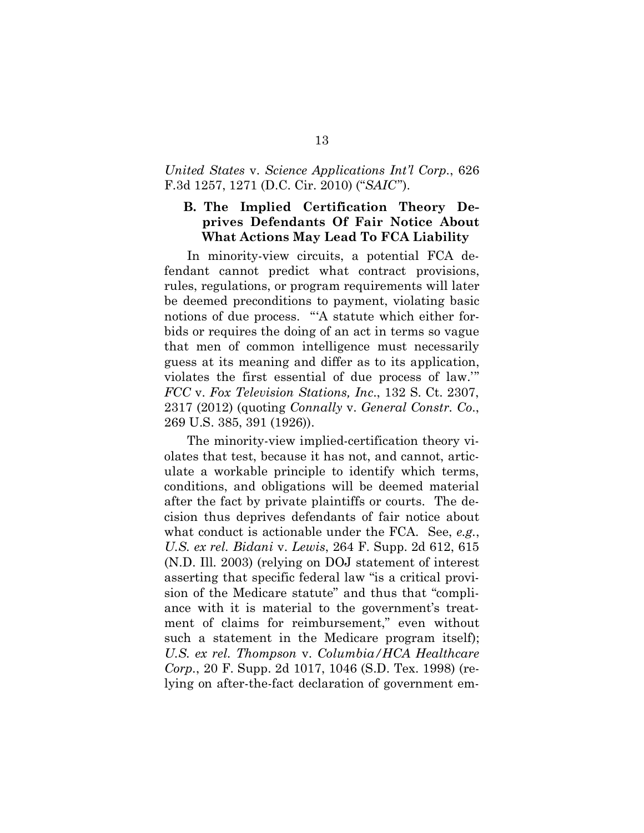## *United States* v. *Science Applications Int'l Corp.*, 626 F.3d 1257, 1271 (D.C. Cir. 2010) ("*SAIC*").

## **B. The Implied Certification Theory Deprives Defendants Of Fair Notice About What Actions May Lead To FCA Liability**

In minority-view circuits, a potential FCA defendant cannot predict what contract provisions, rules, regulations, or program requirements will later be deemed preconditions to payment, violating basic notions of due process. "'A statute which either forbids or requires the doing of an act in terms so vague that men of common intelligence must necessarily guess at its meaning and differ as to its application, violates the first essential of due process of law.'" *FCC* v. *Fox Television Stations, Inc*., 132 S. Ct. 2307, 2317 (2012) (quoting *Connally* v. *General Constr. Co*., 269 U.S. 385, 391 (1926)).

The minority-view implied-certification theory violates that test, because it has not, and cannot, articulate a workable principle to identify which terms, conditions, and obligations will be deemed material after the fact by private plaintiffs or courts. The decision thus deprives defendants of fair notice about what conduct is actionable under the FCA. See, *e.g.*, *U.S. ex rel. Bidani* v. *Lewis*, 264 F. Supp. 2d 612, 615 (N.D. Ill. 2003) (relying on DOJ statement of interest asserting that specific federal law "is a critical provision of the Medicare statute" and thus that "compliance with it is material to the government's treatment of claims for reimbursement," even without such a statement in the Medicare program itself); *U.S. ex rel. Thompson* v. *Columbia/HCA Healthcare Corp.*, 20 F. Supp. 2d 1017, 1046 (S.D. Tex. 1998) (relying on after-the-fact declaration of government em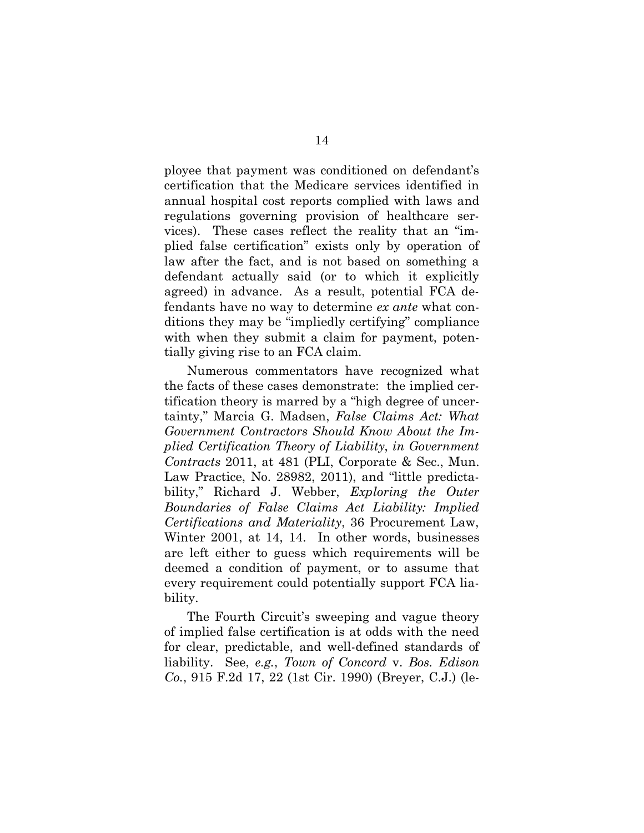ployee that payment was conditioned on defendant's certification that the Medicare services identified in annual hospital cost reports complied with laws and regulations governing provision of healthcare services). These cases reflect the reality that an "implied false certification" exists only by operation of law after the fact, and is not based on something a defendant actually said (or to which it explicitly agreed) in advance. As a result, potential FCA defendants have no way to determine *ex ante* what conditions they may be "impliedly certifying" compliance with when they submit a claim for payment, potentially giving rise to an FCA claim.

Numerous commentators have recognized what the facts of these cases demonstrate: the implied certification theory is marred by a "high degree of uncertainty," Marcia G. Madsen, *False Claims Act: What Government Contractors Should Know About the Implied Certification Theory of Liability*, *in Government Contracts* 2011, at 481 (PLI, Corporate & Sec., Mun. Law Practice, No. 28982, 2011), and "little predictability," Richard J. Webber, *Exploring the Outer Boundaries of False Claims Act Liability: Implied Certifications and Materiality*, 36 Procurement Law, Winter 2001, at 14, 14. In other words, businesses are left either to guess which requirements will be deemed a condition of payment, or to assume that every requirement could potentially support FCA liability.

The Fourth Circuit's sweeping and vague theory of implied false certification is at odds with the need for clear, predictable, and well-defined standards of liability. See, *e.g.*, *Town of Concord* v. *Bos. Edison Co.*, 915 F.2d 17, 22 (1st Cir. 1990) (Breyer, C.J.) (le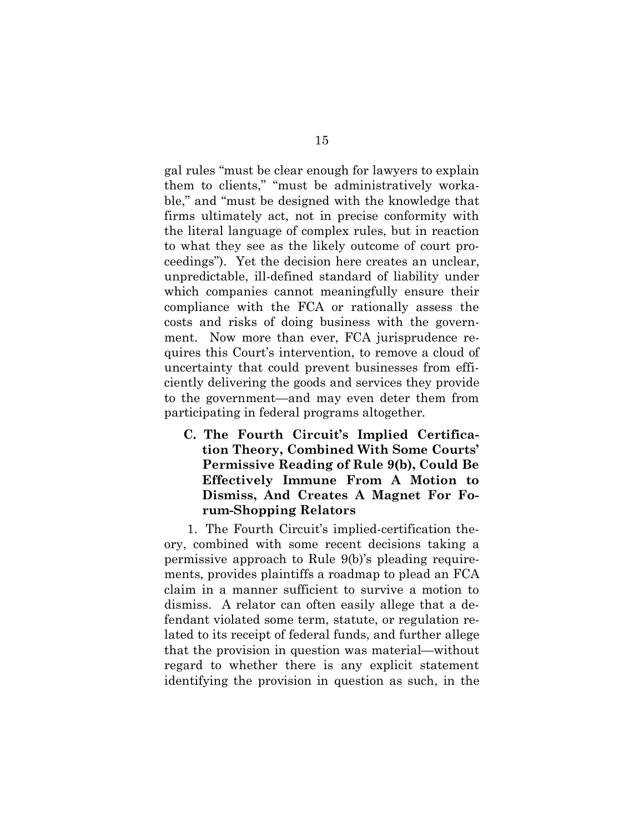gal rules "must be clear enough for lawyers to explain them to clients," "must be administratively workable," and "must be designed with the knowledge that firms ultimately act, not in precise conformity with the literal language of complex rules, but in reaction to what they see as the likely outcome of court proceedings"). Yet the decision here creates an unclear, unpredictable, ill-defined standard of liability under which companies cannot meaningfully ensure their compliance with the FCA or rationally assess the costs and risks of doing business with the government. Now more than ever, FCA jurisprudence requires this Court's intervention, to remove a cloud of uncertainty that could prevent businesses from efficiently delivering the goods and services they provide to the government—and may even deter them from participating in federal programs altogether.

**C. The Fourth Circuit's Implied Certification Theory, Combined With Some Courts' Permissive Reading of Rule 9(b), Could Be Effectively Immune From A Motion to Dismiss, And Creates A Magnet For Forum-Shopping Relators**

1. The Fourth Circuit's implied-certification theory, combined with some recent decisions taking a permissive approach to Rule 9(b)'s pleading requirements, provides plaintiffs a roadmap to plead an FCA claim in a manner sufficient to survive a motion to dismiss. A relator can often easily allege that a defendant violated some term, statute, or regulation related to its receipt of federal funds, and further allege that the provision in question was material—without regard to whether there is any explicit statement identifying the provision in question as such, in the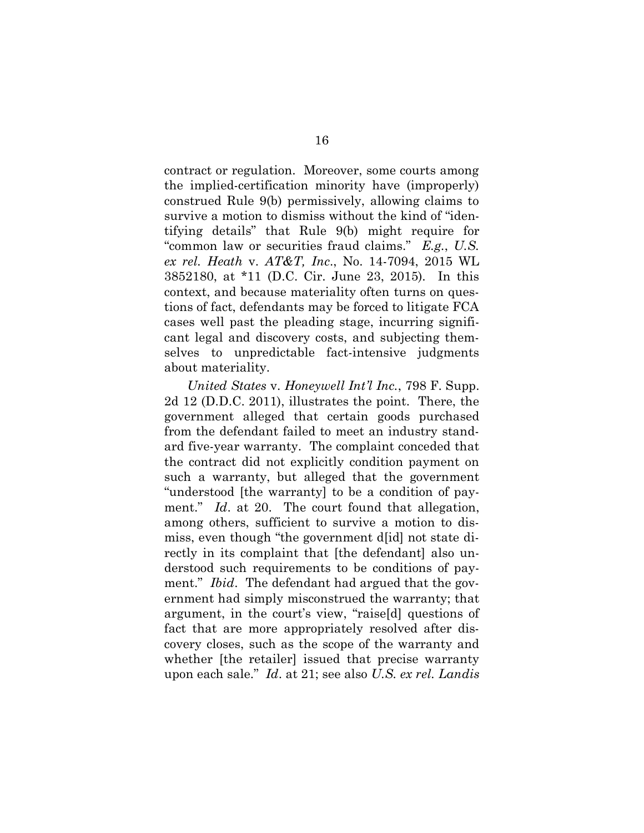contract or regulation. Moreover, some courts among the implied-certification minority have (improperly) construed Rule 9(b) permissively, allowing claims to survive a motion to dismiss without the kind of "identifying details" that Rule 9(b) might require for "common law or securities fraud claims." *E.g.*, *U.S. ex rel. Heath* v. *AT&T, Inc*., No. 14-7094, 2015 WL 3852180, at \*11 (D.C. Cir. June 23, 2015). In this context, and because materiality often turns on questions of fact, defendants may be forced to litigate FCA cases well past the pleading stage, incurring significant legal and discovery costs, and subjecting themselves to unpredictable fact-intensive judgments about materiality.

*United States* v. *Honeywell Int'l Inc.*, 798 F. Supp. 2d 12 (D.D.C. 2011), illustrates the point. There, the government alleged that certain goods purchased from the defendant failed to meet an industry standard five-year warranty. The complaint conceded that the contract did not explicitly condition payment on such a warranty, but alleged that the government "understood [the warranty] to be a condition of payment." *Id.* at 20. The court found that allegation, among others, sufficient to survive a motion to dismiss, even though "the government d[id] not state directly in its complaint that [the defendant] also understood such requirements to be conditions of payment." *Ibid*. The defendant had argued that the government had simply misconstrued the warranty; that argument, in the court's view, "raise[d] questions of fact that are more appropriately resolved after discovery closes, such as the scope of the warranty and whether [the retailer] issued that precise warranty upon each sale." *Id*. at 21; see also *U.S. ex rel. Landis*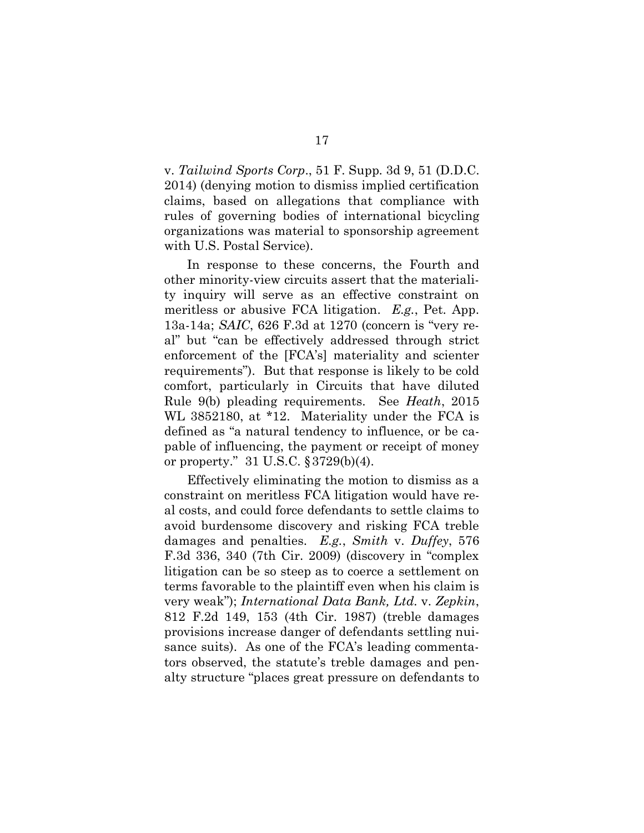v. *Tailwind Sports Corp*., 51 F. Supp. 3d 9, 51 (D.D.C. 2014) (denying motion to dismiss implied certification claims, based on allegations that compliance with rules of governing bodies of international bicycling organizations was material to sponsorship agreement with U.S. Postal Service).

In response to these concerns, the Fourth and other minority-view circuits assert that the materiality inquiry will serve as an effective constraint on meritless or abusive FCA litigation. *E.g.*, Pet. App. 13a-14a; *SAIC*, 626 F.3d at 1270 (concern is "very real" but "can be effectively addressed through strict enforcement of the [FCA's] materiality and scienter requirements"). But that response is likely to be cold comfort, particularly in Circuits that have diluted Rule 9(b) pleading requirements. See *Heath*, 2015 WL 3852180, at \*12. Materiality under the FCA is defined as "a natural tendency to influence, or be capable of influencing, the payment or receipt of money or property." 31 U.S.C. §3729(b)(4).

Effectively eliminating the motion to dismiss as a constraint on meritless FCA litigation would have real costs, and could force defendants to settle claims to avoid burdensome discovery and risking FCA treble damages and penalties. *E.g.*, *Smith* v. *Duffey*, 576 F.3d 336, 340 (7th Cir. 2009) (discovery in "complex litigation can be so steep as to coerce a settlement on terms favorable to the plaintiff even when his claim is very weak"); *International Data Bank, Ltd.* v. *Zepkin*, 812 F.2d 149, 153 (4th Cir. 1987) (treble damages provisions increase danger of defendants settling nuisance suits). As one of the FCA's leading commentators observed, the statute's treble damages and penalty structure "places great pressure on defendants to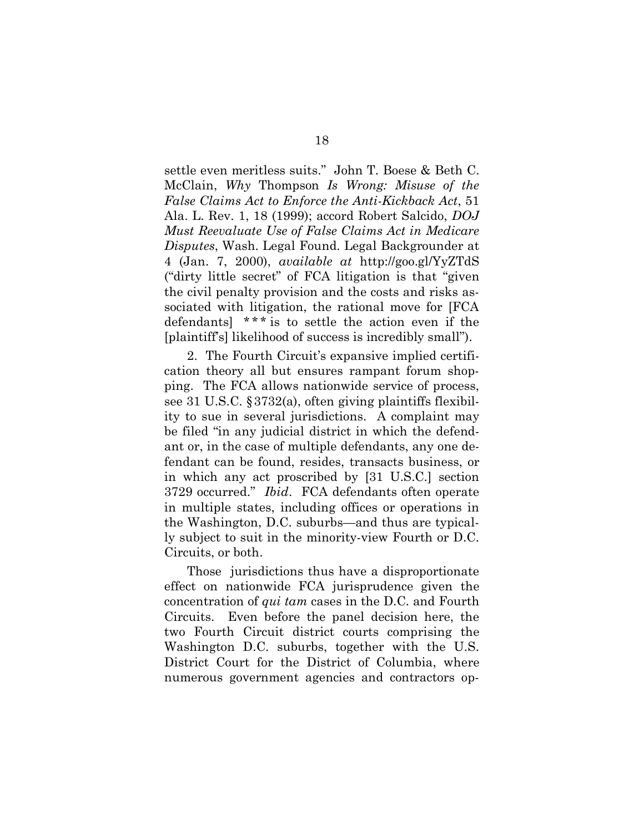settle even meritless suits." John T. Boese & Beth C. McClain, *Why* Thompson *Is Wrong: Misuse of the False Claims Act to Enforce the Anti-Kickback Act*, 51 Ala. L. Rev. 1, 18 (1999); accord Robert Salcido, *DOJ Must Reevaluate Use of False Claims Act in Medicare Disputes*, Wash. Legal Found. Legal Backgrounder at 4 (Jan. 7, 2000), *available at* http://goo.gl/YyZTdS ("dirty little secret" of FCA litigation is that "given the civil penalty provision and the costs and risks associated with litigation, the rational move for [FCA defendants]  $***$  is to settle the action even if the [plaintiff's] likelihood of success is incredibly small").

2. The Fourth Circuit's expansive implied certification theory all but ensures rampant forum shopping. The FCA allows nationwide service of process, see 31 U.S.C. §3732(a), often giving plaintiffs flexibility to sue in several jurisdictions. A complaint may be filed "in any judicial district in which the defendant or, in the case of multiple defendants, any one defendant can be found, resides, transacts business, or in which any act proscribed by [31 U.S.C.] section 3729 occurred." *Ibid*. FCA defendants often operate in multiple states, including offices or operations in the Washington, D.C. suburbs—and thus are typically subject to suit in the minority-view Fourth or D.C. Circuits, or both.

Those jurisdictions thus have a disproportionate effect on nationwide FCA jurisprudence given the concentration of *qui tam* cases in the D.C. and Fourth Circuits. Even before the panel decision here, the two Fourth Circuit district courts comprising the Washington D.C. suburbs, together with the U.S. District Court for the District of Columbia, where numerous government agencies and contractors op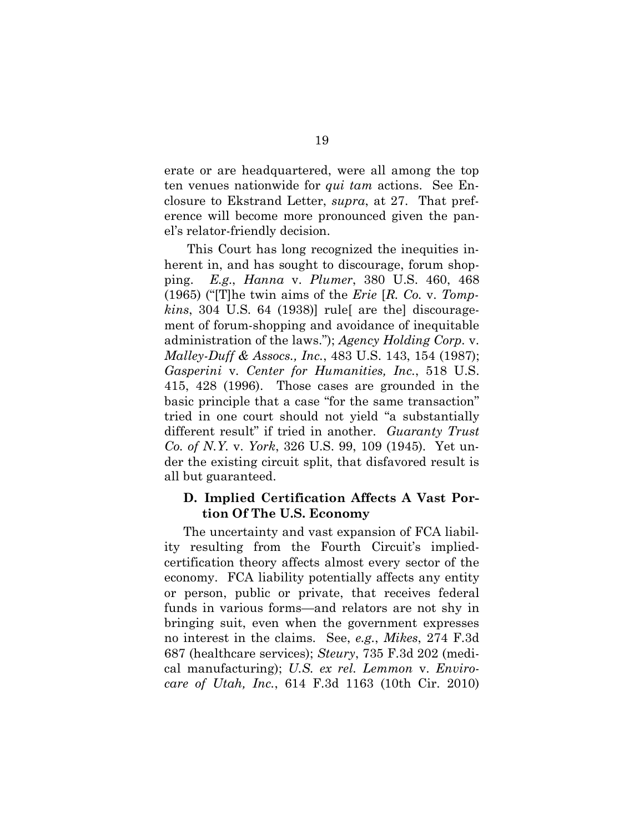erate or are headquartered, were all among the top ten venues nationwide for *qui tam* actions. See Enclosure to Ekstrand Letter, *supra*, at 27. That preference will become more pronounced given the panel's relator-friendly decision.

This Court has long recognized the inequities inherent in, and has sought to discourage, forum shopping. *E.g*., *Hanna* v. *Plumer*, 380 U.S. 460, 468 (1965) ("[T]he twin aims of the *Erie* [*R. Co.* v. *Tompkins*, 304 U.S. 64 (1938)] rule[ are the] discouragement of forum-shopping and avoidance of inequitable administration of the laws."); *Agency Holding Corp.* v. *Malley-Duff & Assocs., Inc.*, 483 U.S. 143, 154 (1987); *Gasperini* v. *Center for Humanities, Inc.*, 518 U.S. 415, 428 (1996). Those cases are grounded in the basic principle that a case "for the same transaction" tried in one court should not yield "a substantially different result" if tried in another. *Guaranty Trust Co. of N.Y.* v. *York*, 326 U.S. 99, 109 (1945). Yet under the existing circuit split, that disfavored result is all but guaranteed.

## **D. Implied Certification Affects A Vast Portion Of The U.S. Economy**

The uncertainty and vast expansion of FCA liability resulting from the Fourth Circuit's impliedcertification theory affects almost every sector of the economy. FCA liability potentially affects any entity or person, public or private, that receives federal funds in various forms—and relators are not shy in bringing suit, even when the government expresses no interest in the claims. See, *e.g.*, *Mikes*, 274 F.3d 687 (healthcare services); *Steury*, 735 F.3d 202 (medical manufacturing); *U.S. ex rel. Lemmon* v. *Envirocare of Utah, Inc.*, 614 F.3d 1163 (10th Cir. 2010)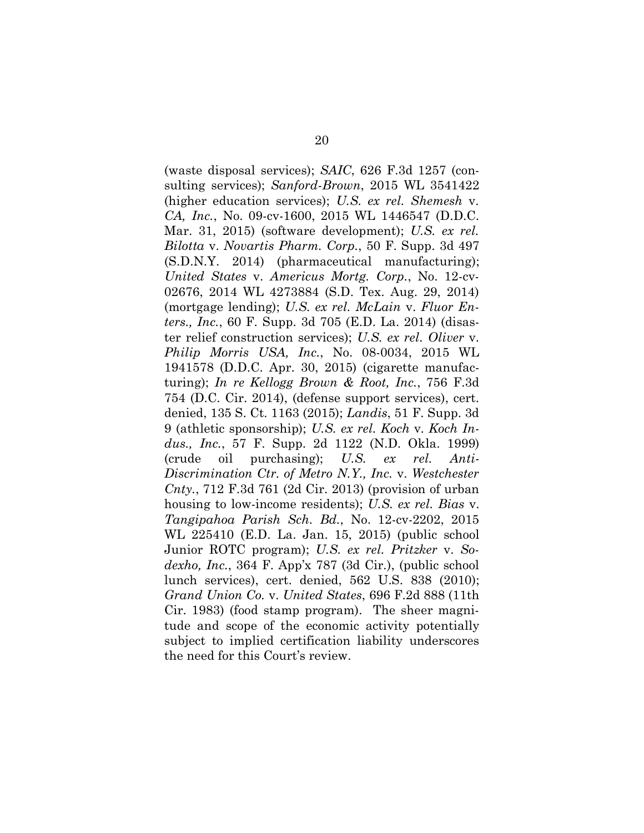(waste disposal services); *SAIC*, 626 F.3d 1257 (consulting services); *Sanford-Brown*, 2015 WL 3541422 (higher education services); *U.S. ex rel. Shemesh* v. *CA, Inc.*, No. 09-cv-1600, 2015 WL 1446547 (D.D.C. Mar. 31, 2015) (software development); *U.S. ex rel. Bilotta* v. *Novartis Pharm. Corp.*, 50 F. Supp. 3d 497 (S.D.N.Y. 2014) (pharmaceutical manufacturing); *United States* v. *Americus Mortg. Corp.*, No. 12-cv-02676, 2014 WL 4273884 (S.D. Tex. Aug. 29, 2014) (mortgage lending); *U.S. ex rel. McLain* v. *Fluor Enters., Inc.*, 60 F. Supp. 3d 705 (E.D. La. 2014) (disaster relief construction services); *U.S. ex rel. Oliver* v. *Philip Morris USA, Inc.*, No. 08-0034, 2015 WL 1941578 (D.D.C. Apr. 30, 2015) (cigarette manufacturing); *In re Kellogg Brown & Root, Inc.*, 756 F.3d 754 (D.C. Cir. 2014), (defense support services), cert. denied, 135 S. Ct. 1163 (2015); *Landis*, 51 F. Supp. 3d 9 (athletic sponsorship); *U.S. ex rel. Koch* v. *Koch Indus., Inc.*, 57 F. Supp. 2d 1122 (N.D. Okla. 1999) (crude oil purchasing); *U.S. ex rel. Anti-Discrimination Ctr. of Metro N.Y., Inc.* v. *Westchester Cnty.*, 712 F.3d 761 (2d Cir. 2013) (provision of urban housing to low-income residents); *U.S. ex rel. Bias* v. *Tangipahoa Parish Sch. Bd.*, No. 12-cv-2202, 2015 WL 225410 (E.D. La. Jan. 15, 2015) (public school Junior ROTC program); *U.S. ex rel. Pritzker* v. *Sodexho, Inc.*, 364 F. App'x 787 (3d Cir.), (public school lunch services), cert. denied, 562 U.S. 838 (2010); *Grand Union Co.* v. *United States*, 696 F.2d 888 (11th Cir. 1983) (food stamp program). The sheer magnitude and scope of the economic activity potentially subject to implied certification liability underscores the need for this Court's review.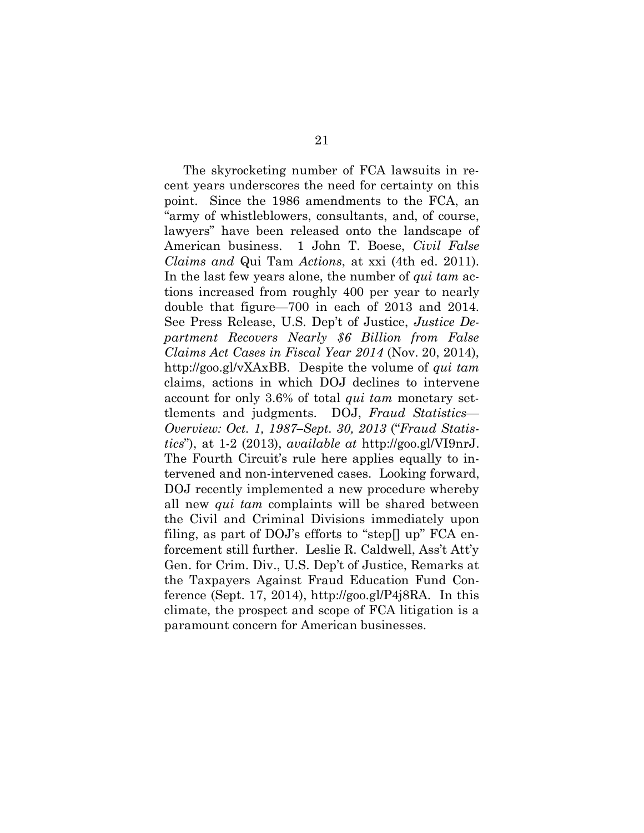The skyrocketing number of FCA lawsuits in recent years underscores the need for certainty on this point. Since the 1986 amendments to the FCA, an "army of whistleblowers, consultants, and, of course, lawyers" have been released onto the landscape of American business. 1 John T. Boese, *Civil False Claims and* Qui Tam *Actions*, at xxi (4th ed. 2011). In the last few years alone, the number of *qui tam* actions increased from roughly 400 per year to nearly double that figure—700 in each of 2013 and 2014. See Press Release, U.S. Dep't of Justice, *Justice Department Recovers Nearly \$6 Billion from False Claims Act Cases in Fiscal Year 2014* (Nov. 20, 2014), http://goo.gl/vXAxBB. Despite the volume of *qui tam* claims, actions in which DOJ declines to intervene account for only 3.6% of total *qui tam* monetary settlements and judgments. DOJ, *Fraud Statistics— Overview: Oct. 1, 1987–Sept. 30, 2013* ("*Fraud Statistics*"), at 1-2 (2013), *available at* http://goo.gl/VI9nrJ. The Fourth Circuit's rule here applies equally to intervened and non-intervened cases. Looking forward, DOJ recently implemented a new procedure whereby all new *qui tam* complaints will be shared between the Civil and Criminal Divisions immediately upon filing, as part of DOJ's efforts to "step[] up" FCA enforcement still further. Leslie R. Caldwell, Ass't Att'y Gen. for Crim. Div., U.S. Dep't of Justice, Remarks at the Taxpayers Against Fraud Education Fund Conference (Sept. 17, 2014), http://goo.gl/P4j8RA. In this climate, the prospect and scope of FCA litigation is a paramount concern for American businesses.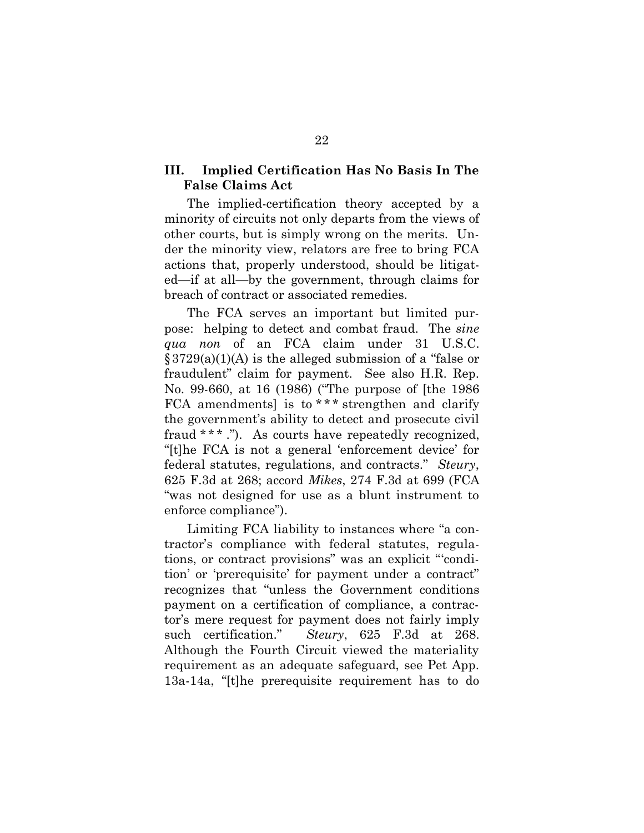## **III. Implied Certification Has No Basis In The False Claims Act**

The implied-certification theory accepted by a minority of circuits not only departs from the views of other courts, but is simply wrong on the merits. Under the minority view, relators are free to bring FCA actions that, properly understood, should be litigated—if at all—by the government, through claims for breach of contract or associated remedies.

The FCA serves an important but limited purpose: helping to detect and combat fraud. The *sine qua non* of an FCA claim under 31 U.S.C.  $§3729(a)(1)(A)$  is the alleged submission of a "false or fraudulent" claim for payment. See also H.R. Rep. No. 99-660, at 16 (1986) ("The purpose of [the 1986 FCA amendments is to  $***$  strengthen and clarify the government's ability to detect and prosecute civil fraud \*\*\*."). As courts have repeatedly recognized, "[t]he FCA is not a general 'enforcement device' for federal statutes, regulations, and contracts." *Steury*, 625 F.3d at 268; accord *Mikes*, 274 F.3d at 699 (FCA "was not designed for use as a blunt instrument to enforce compliance").

Limiting FCA liability to instances where "a contractor's compliance with federal statutes, regulations, or contract provisions" was an explicit "'condition' or 'prerequisite' for payment under a contract" recognizes that "unless the Government conditions payment on a certification of compliance, a contractor's mere request for payment does not fairly imply such certification." *Steury*, 625 F.3d at 268. Although the Fourth Circuit viewed the materiality requirement as an adequate safeguard, see Pet App. 13a-14a, "[t]he prerequisite requirement has to do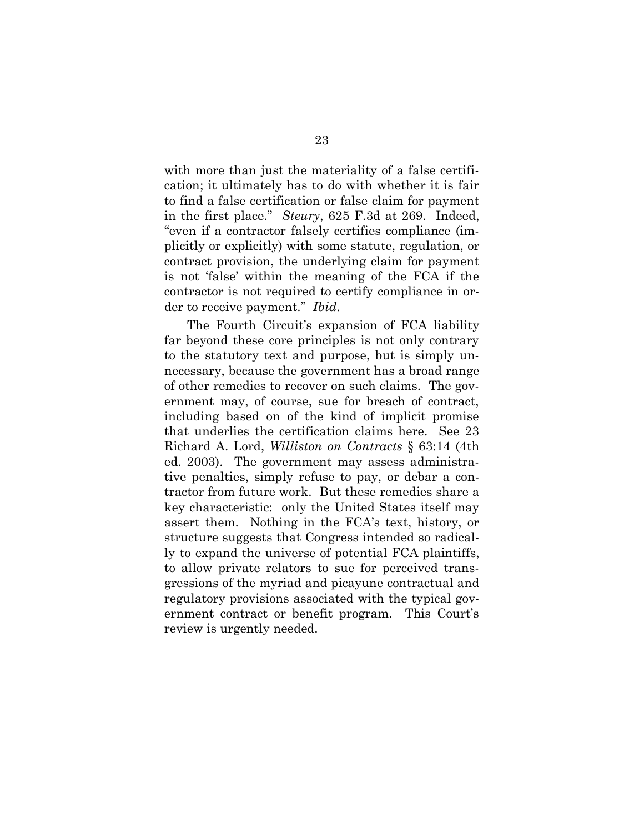with more than just the materiality of a false certification; it ultimately has to do with whether it is fair to find a false certification or false claim for payment in the first place." *Steury*, 625 F.3d at 269. Indeed, "even if a contractor falsely certifies compliance (implicitly or explicitly) with some statute, regulation, or contract provision, the underlying claim for payment is not 'false' within the meaning of the FCA if the contractor is not required to certify compliance in order to receive payment." *Ibid.*

The Fourth Circuit's expansion of FCA liability far beyond these core principles is not only contrary to the statutory text and purpose, but is simply unnecessary, because the government has a broad range of other remedies to recover on such claims. The government may, of course, sue for breach of contract, including based on of the kind of implicit promise that underlies the certification claims here. See 23 Richard A. Lord, *Williston on Contracts* § 63:14 (4th ed. 2003). The government may assess administrative penalties, simply refuse to pay, or debar a contractor from future work. But these remedies share a key characteristic: only the United States itself may assert them. Nothing in the FCA's text, history, or structure suggests that Congress intended so radically to expand the universe of potential FCA plaintiffs, to allow private relators to sue for perceived transgressions of the myriad and picayune contractual and regulatory provisions associated with the typical government contract or benefit program. This Court's review is urgently needed.